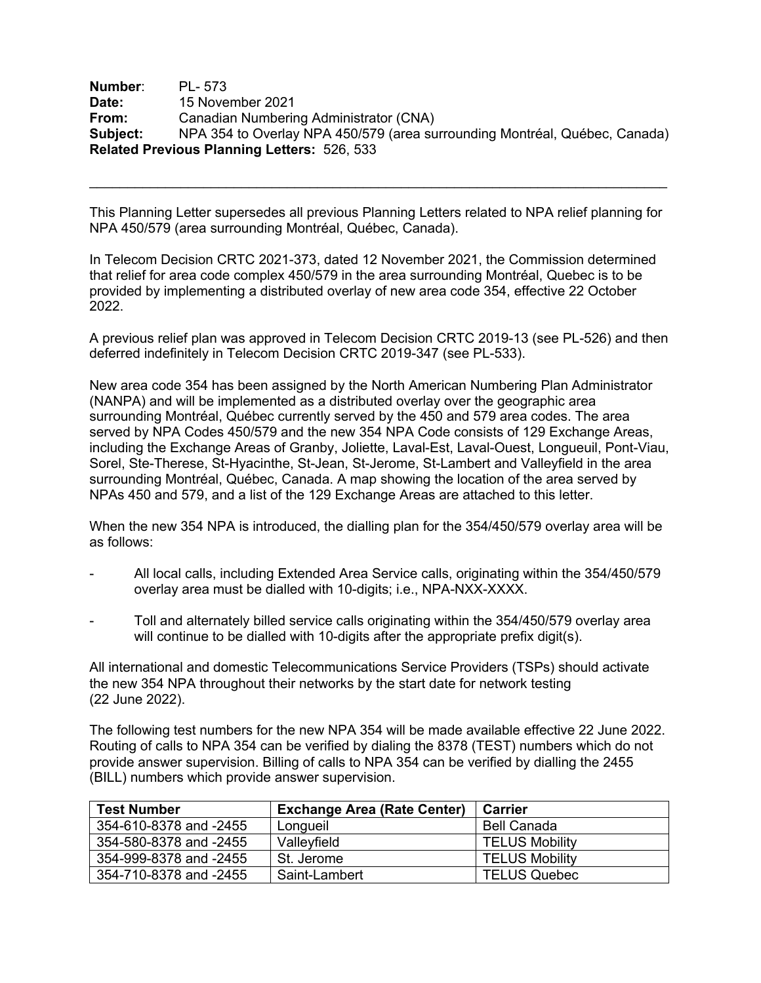**Number**: PL- 573 **Date:** 15 November 2021 **From:** Canadian Numbering Administrator (CNA) **Subject:** NPA 354 to Overlay NPA 450/579 (area surrounding Montréal, Québec, Canada) **Related Previous Planning Letters:** 526, 533

This Planning Letter supersedes all previous Planning Letters related to NPA relief planning for NPA 450/579 (area surrounding Montréal, Québec, Canada).

In Telecom Decision CRTC 2021-373, dated 12 November 2021, the Commission determined that relief for area code complex 450/579 in the area surrounding Montréal, Quebec is to be provided by implementing a distributed overlay of new area code 354, effective 22 October 2022.

A previous relief plan was approved in Telecom Decision CRTC 2019-13 (see PL-526) and then deferred indefinitely in Telecom Decision CRTC 2019-347 (see PL-533).

New area code 354 has been assigned by the North American Numbering Plan Administrator (NANPA) and will be implemented as a distributed overlay over the geographic area surrounding Montréal, Québec currently served by the 450 and 579 area codes. The area served by NPA Codes 450/579 and the new 354 NPA Code consists of 129 Exchange Areas, including the Exchange Areas of Granby, Joliette, Laval-Est, Laval-Ouest, Longueuil, Pont-Viau, Sorel, Ste-Therese, St-Hyacinthe, St-Jean, St-Jerome, St-Lambert and Valleyfield in the area surrounding Montréal, Québec, Canada. A map showing the location of the area served by NPAs 450 and 579, and a list of the 129 Exchange Areas are attached to this letter.

When the new 354 NPA is introduced, the dialling plan for the 354/450/579 overlay area will be as follows:

- All local calls, including Extended Area Service calls, originating within the 354/450/579 overlay area must be dialled with 10-digits; i.e., NPA-NXX-XXXX.
- Toll and alternately billed service calls originating within the 354/450/579 overlay area will continue to be dialled with 10-digits after the appropriate prefix digit(s).

All international and domestic Telecommunications Service Providers (TSPs) should activate the new 354 NPA throughout their networks by the start date for network testing (22 June 2022).

The following test numbers for the new NPA 354 will be made available effective 22 June 2022. Routing of calls to NPA 354 can be verified by dialing the 8378 (TEST) numbers which do not provide answer supervision. Billing of calls to NPA 354 can be verified by dialling the 2455 (BILL) numbers which provide answer supervision.

| <b>Test Number</b>     | <b>Exchange Area (Rate Center)</b> | <b>Carrier</b>        |
|------------------------|------------------------------------|-----------------------|
| 354-610-8378 and -2455 | Longueil                           | <b>Bell Canada</b>    |
| 354-580-8378 and -2455 | Valleyfield                        | <b>TELUS Mobility</b> |
| 354-999-8378 and -2455 | St. Jerome                         | <b>TELUS Mobility</b> |
| 354-710-8378 and -2455 | Saint-Lambert                      | <b>TELUS Quebec</b>   |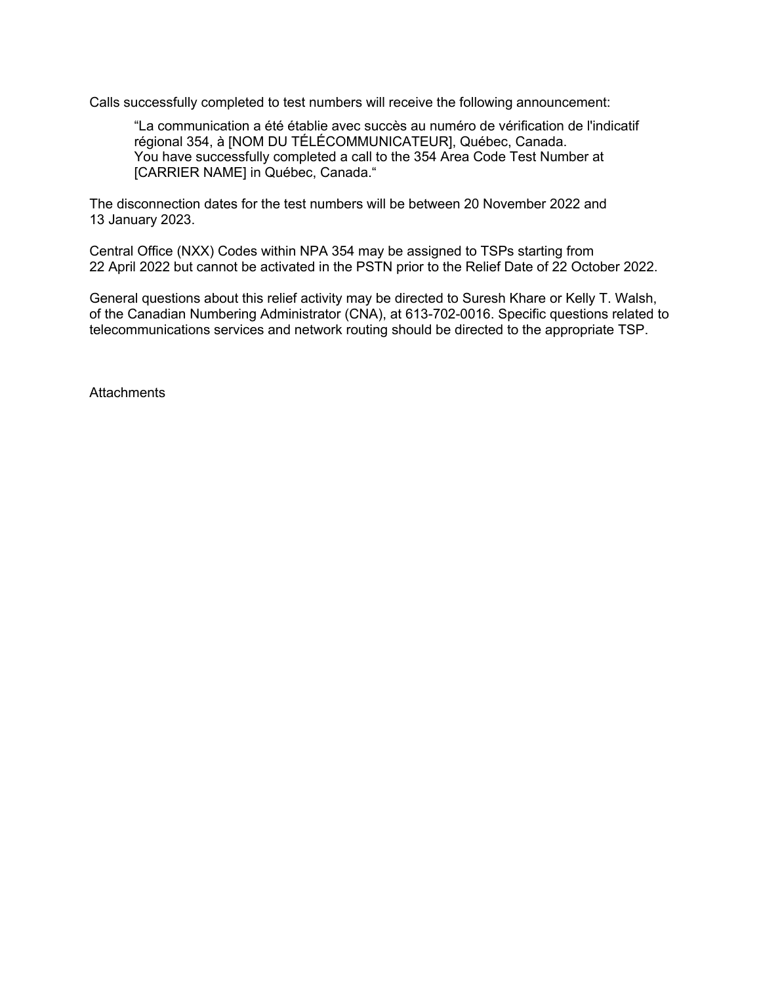Calls successfully completed to test numbers will receive the following announcement:

"La communication a été établie avec succès au numéro de vérification de l'indicatif régional 354, à [NOM DU TÉLÉCOMMUNICATEUR], Québec, Canada. You have successfully completed a call to the 354 Area Code Test Number at [CARRIER NAME] in Québec, Canada."

The disconnection dates for the test numbers will be between 20 November 2022 and 13 January 2023.

Central Office (NXX) Codes within NPA 354 may be assigned to TSPs starting from 22 April 2022 but cannot be activated in the PSTN prior to the Relief Date of 22 October 2022.

General questions about this relief activity may be directed to Suresh Khare or Kelly T. Walsh, of the Canadian Numbering Administrator (CNA), at 613-702-0016. Specific questions related to telecommunications services and network routing should be directed to the appropriate TSP.

**Attachments**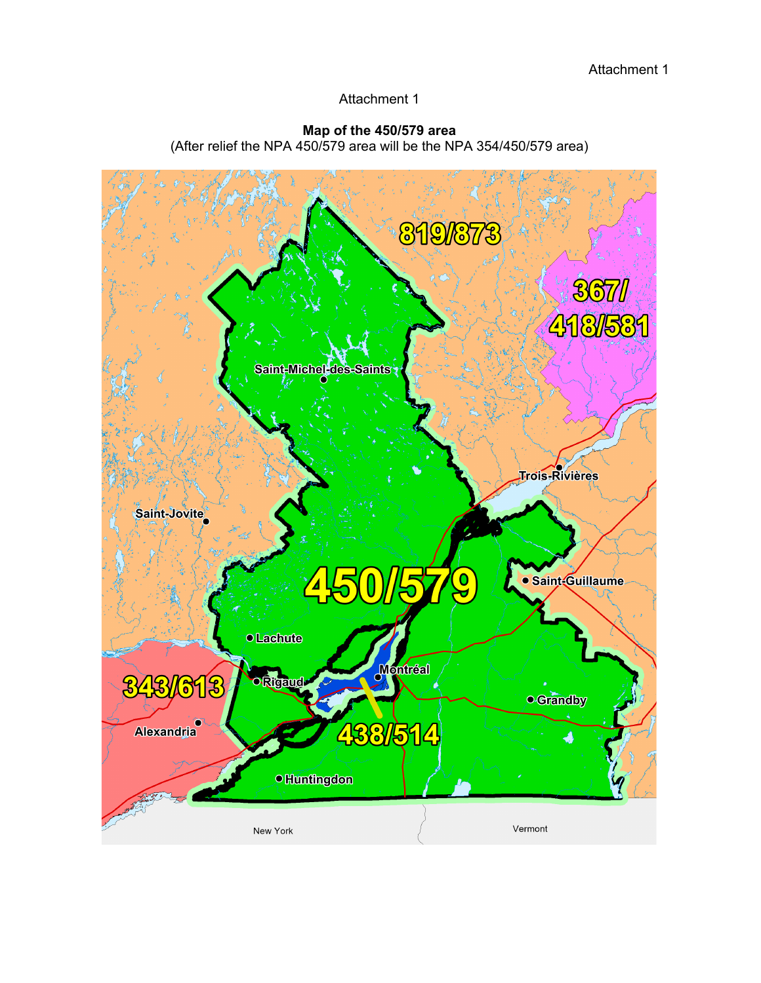## Attachment 1

## **Map of the 450/579 area**

(After relief the NPA 450/579 area will be the NPA 354/450/579 area)

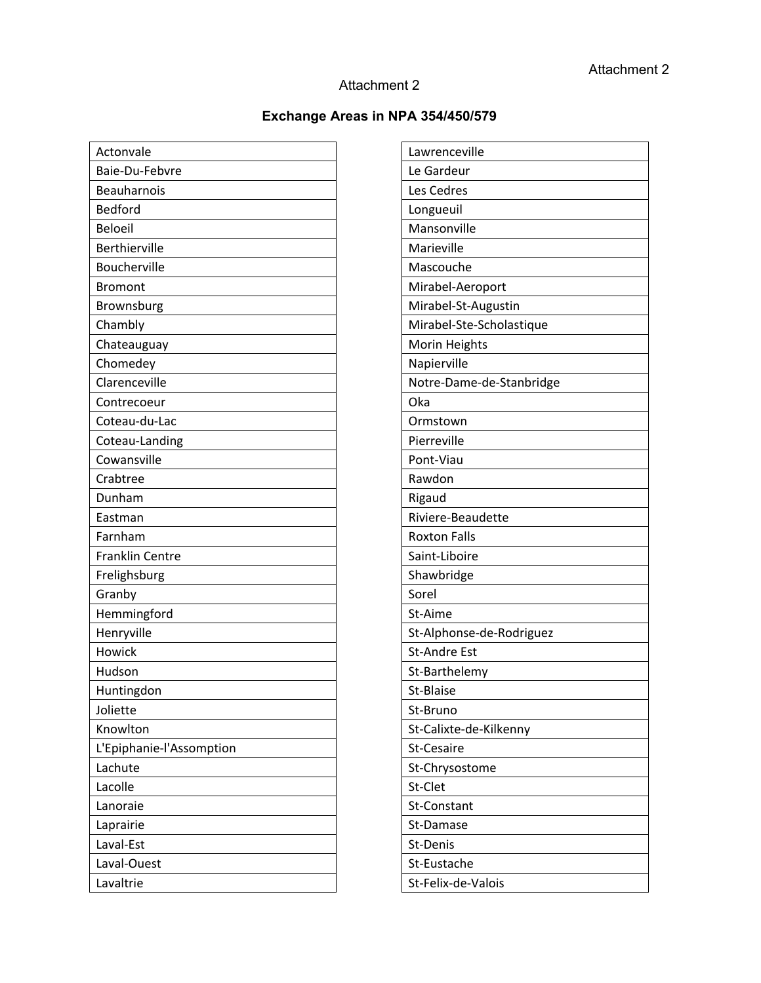## Attachment 2

## **Exchange Areas in NPA 354/450/579**

| Actonvale                |
|--------------------------|
| Baie-Du-Febvre           |
| <b>Beauharnois</b>       |
| <b>Bedford</b>           |
| <b>Beloeil</b>           |
| Berthierville            |
| <b>Boucherville</b>      |
| <b>Bromont</b>           |
| Brownsburg               |
| Chambly                  |
| Chateauguay              |
| Chomedey                 |
| Clarenceville            |
| Contrecoeur              |
| Coteau-du-Lac            |
| Coteau-Landing           |
| Cowansville              |
| Crabtree                 |
| Dunham                   |
| Eastman                  |
| Farnham                  |
| <b>Franklin Centre</b>   |
| Frelighsburg             |
| Granby                   |
| Hemmingford              |
| Henryville               |
| Howick                   |
| Hudson                   |
| Huntingdon               |
| Joliette                 |
| Knowlton                 |
| L'Epiphanie-l'Assomption |
| Lachute                  |
| Lacolle                  |
| Lanoraie                 |
| Laprairie                |
| Laval-Est                |
| Laval-Ouest              |
| Lavaltrie                |

| Lawrenceville            |
|--------------------------|
| Le Gardeur               |
| Les Cedres               |
| Longueuil                |
| Mansonville              |
| Marieville               |
| Mascouche                |
| Mirabel-Aeroport         |
| Mirabel-St-Augustin      |
| Mirabel-Ste-Scholastique |
| Morin Heights            |
| Napierville              |
| Notre-Dame-de-Stanbridge |
| Oka                      |
| Ormstown                 |
| Pierreville              |
| Pont-Viau                |
| Rawdon                   |
| Rigaud                   |
| Riviere-Beaudette        |
| <b>Roxton Falls</b>      |
| Saint-Liboire            |
| Shawbridge               |
| Sorel                    |
| St-Aime                  |
| St-Alphonse-de-Rodriguez |
| <b>St-Andre Est</b>      |
| St-Barthelemy            |
| St-Blaise                |
| St-Bruno                 |
| St-Calixte-de-Kilkenny   |
| St-Cesaire               |
| St-Chrysostome           |
| St-Clet                  |
| St-Constant              |
| St-Damase                |
| St-Denis                 |
| St-Eustache              |
| St-Felix-de-Valois       |